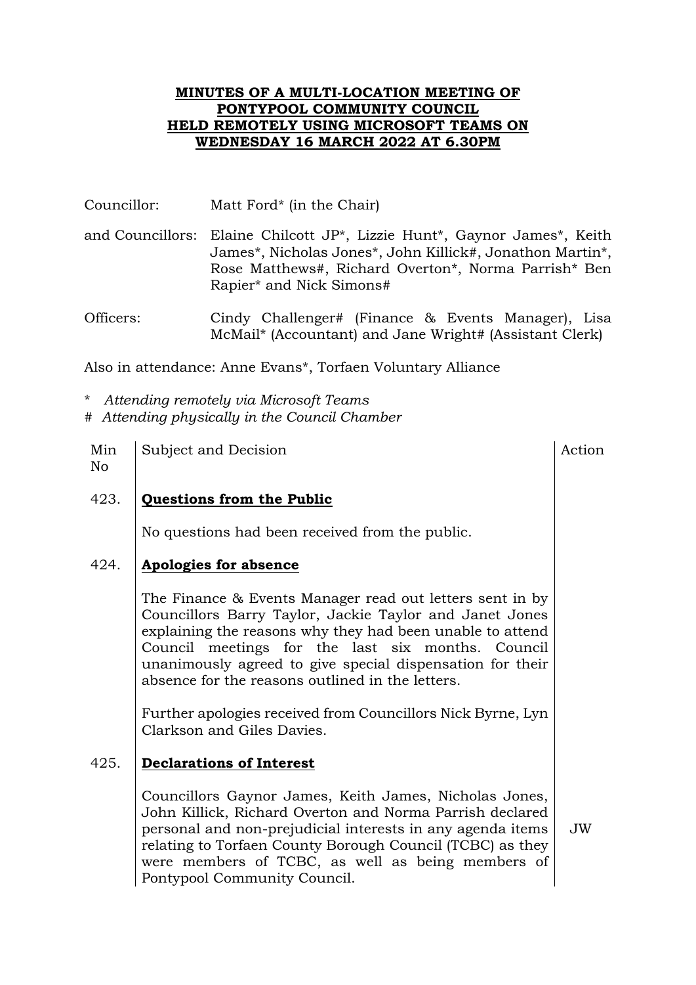#### **MINUTES OF A MULTI-LOCATION MEETING OF PONTYPOOL COMMUNITY COUNCIL HELD REMOTELY USING MICROSOFT TEAMS ON WEDNESDAY 16 MARCH 2022 AT 6.30PM**

- Councillor: Matt Ford\* (in the Chair)
- and Councillors: Elaine Chilcott JP\*, Lizzie Hunt\*, Gaynor James\*, Keith James\*, Nicholas Jones\*, John Killick#, Jonathon Martin\*, Rose Matthews#, Richard Overton\*, Norma Parrish\* Ben Rapier\* and Nick Simons#

Officers: Cindy Challenger# (Finance & Events Manager), Lisa McMail\* (Accountant) and Jane Wright# (Assistant Clerk)

Also in attendance: Anne Evans\*, Torfaen Voluntary Alliance

- \* *Attending remotely via Microsoft Teams*
- # *Attending physically in the Council Chamber*
- Min No Subject and Decision Action Action Action

## 423. **Questions from the Public**

No questions had been received from the public.

## 424. **Apologies for absence**

The Finance & Events Manager read out letters sent in by Councillors Barry Taylor, Jackie Taylor and Janet Jones explaining the reasons why they had been unable to attend Council meetings for the last six months. Council unanimously agreed to give special dispensation for their absence for the reasons outlined in the letters.

Further apologies received from Councillors Nick Byrne, Lyn Clarkson and Giles Davies.

## 425. **Declarations of Interest**

Councillors Gaynor James, Keith James, Nicholas Jones, John Killick, Richard Overton and Norma Parrish declared personal and non-prejudicial interests in any agenda items relating to Torfaen County Borough Council (TCBC) as they were members of TCBC, as well as being members of Pontypool Community Council.

JW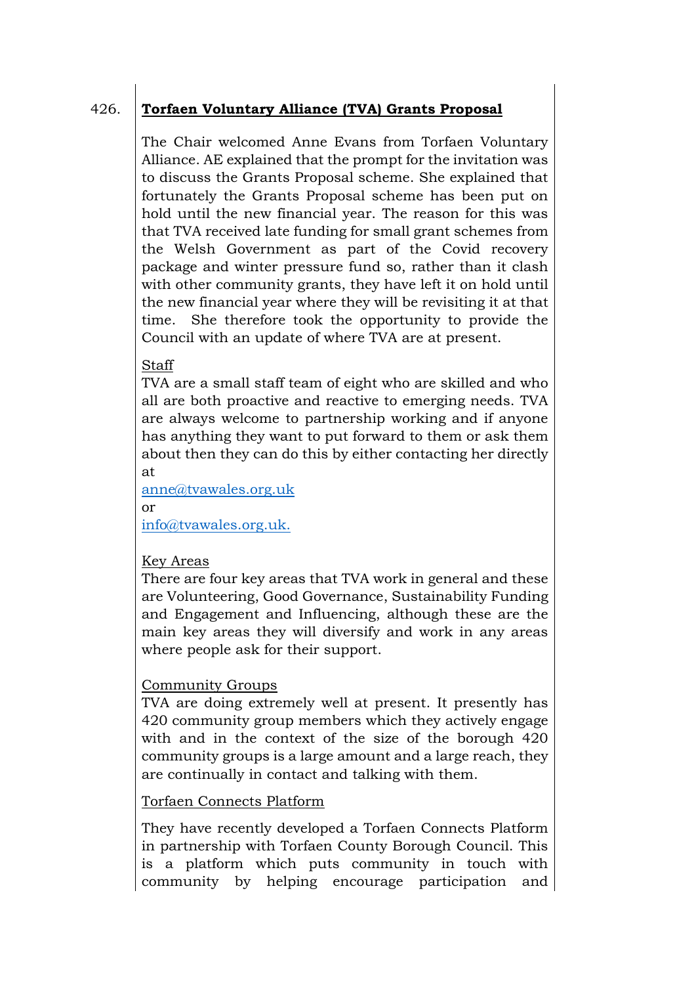# 426. **Torfaen Voluntary Alliance (TVA) Grants Proposal**

The Chair welcomed Anne Evans from Torfaen Voluntary Alliance. AE explained that the prompt for the invitation was to discuss the Grants Proposal scheme. She explained that fortunately the Grants Proposal scheme has been put on hold until the new financial year. The reason for this was that TVA received late funding for small grant schemes from the Welsh Government as part of the Covid recovery package and winter pressure fund so, rather than it clash with other community grants, they have left it on hold until the new financial year where they will be revisiting it at that time. She therefore took the opportunity to provide the Council with an update of where TVA are at present.

#### Staff

TVA are a small staff team of eight who are skilled and who all are both proactive and reactive to emerging needs. TVA are always welcome to partnership working and if anyone has anything they want to put forward to them or ask them about then they can do this by either contacting her directly at

[anne@tvawales.org.uk](mailto:anne@tvawales.org.uk) 

or [info@tvawales.org.uk.](mailto:info@tvawales.org.uk)

## Key Areas

There are four key areas that TVA work in general and these are Volunteering, Good Governance, Sustainability Funding and Engagement and Influencing, although these are the main key areas they will diversify and work in any areas where people ask for their support.

#### Community Groups

TVA are doing extremely well at present. It presently has 420 community group members which they actively engage with and in the context of the size of the borough 420 community groups is a large amount and a large reach, they are continually in contact and talking with them.

#### Torfaen Connects Platform

They have recently developed a Torfaen Connects Platform in partnership with Torfaen County Borough Council. This is a platform which puts community in touch with community by helping encourage participation and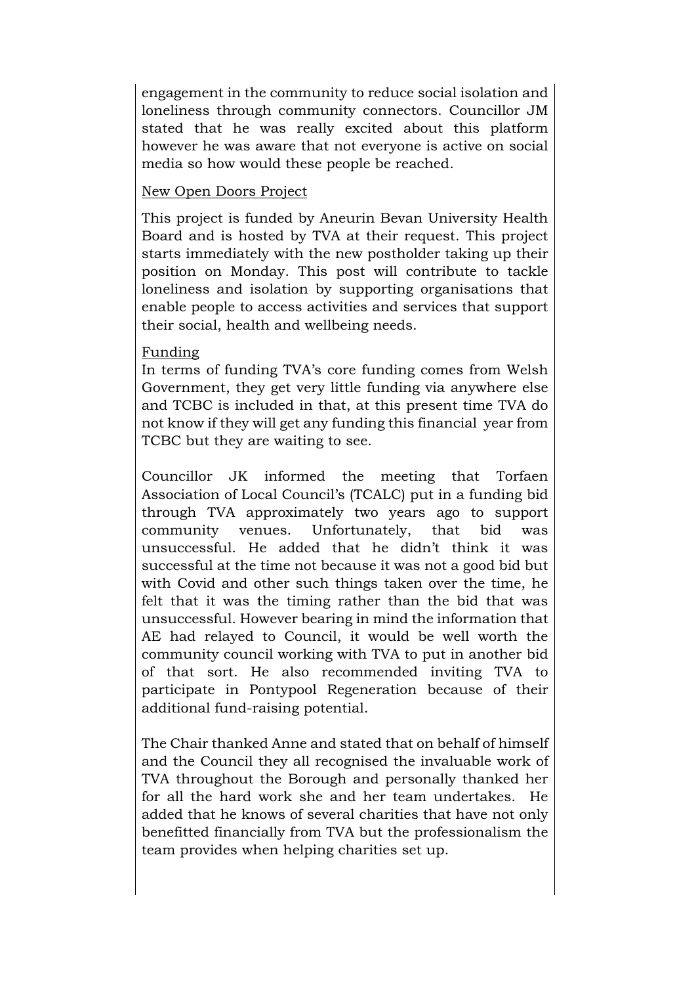engagement in the community to reduce social isolation and loneliness through community connectors. Councillor JM stated that he was really excited about this platform however he was aware that not everyone is active on social media so how would these people be reached.

#### New Open Doors Project

This project is funded by Aneurin Bevan University Health Board and is hosted by TVA at their request. This project starts immediately with the new postholder taking up their position on Monday. This post will contribute to tackle loneliness and isolation by supporting organisations that enable people to access activities and services that support their social, health and wellbeing needs.

#### Funding

In terms of funding TVA's core funding comes from Welsh Government, they get very little funding via anywhere else and TCBC is included in that, at this present time TVA do not know if they will get any funding this financial year from TCBC but they are waiting to see.

Councillor JK informed the meeting that Torfaen Association of Local Council's (TCALC) put in a funding bid through TVA approximately two years ago to support community venues. Unfortunately, that bid was unsuccessful. He added that he didn't think it was successful at the time not because it was not a good bid but with Covid and other such things taken over the time, he felt that it was the timing rather than the bid that was unsuccessful. However bearing in mind the information that AE had relayed to Council, it would be well worth the community council working with TVA to put in another bid of that sort. He also recommended inviting TVA to participate in Pontypool Regeneration because of their additional fund-raising potential.

The Chair thanked Anne and stated that on behalf of himself and the Council they all recognised the invaluable work of TVA throughout the Borough and personally thanked her for all the hard work she and her team undertakes. He added that he knows of several charities that have not only benefitted financially from TVA but the professionalism the team provides when helping charities set up.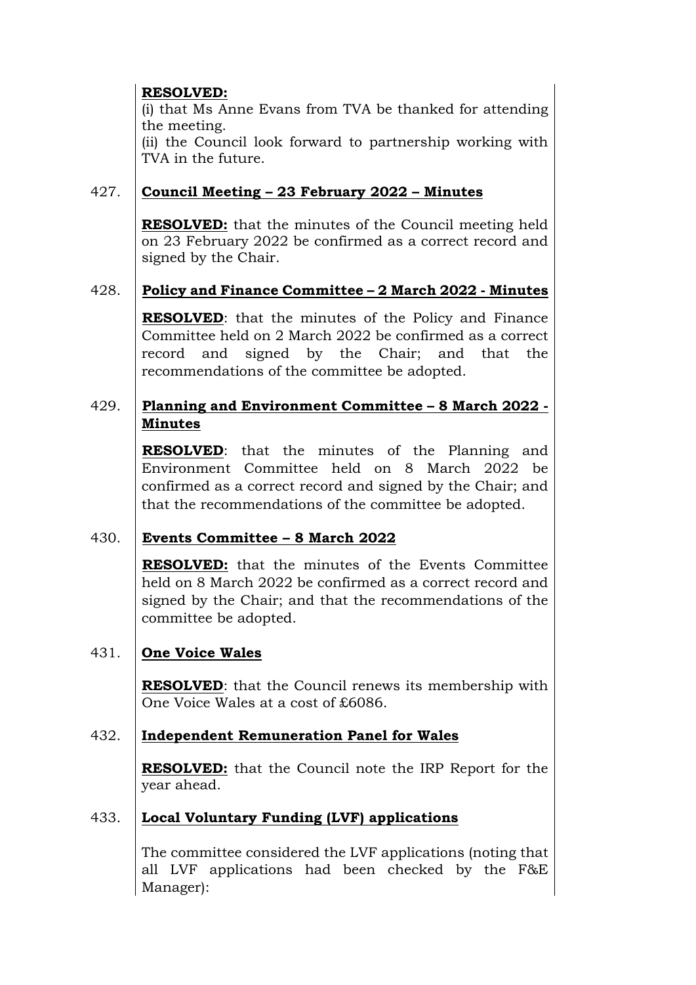## **RESOLVED:**

(i) that Ms Anne Evans from TVA be thanked for attending the meeting.

(ii) the Council look forward to partnership working with TVA in the future.

## 427. **Council Meeting – 23 February 2022 – Minutes**

**RESOLVED:** that the minutes of the Council meeting held on 23 February 2022 be confirmed as a correct record and signed by the Chair.

## 428. **Policy and Finance Committee – 2 March 2022 - Minutes**

**RESOLVED**: that the minutes of the Policy and Finance Committee held on 2 March 2022 be confirmed as a correct record and signed by the Chair; and that the recommendations of the committee be adopted.

## 429. **Planning and Environment Committee – 8 March 2022 - Minutes**

**RESOLVED**: that the minutes of the Planning and Environment Committee held on 8 March 2022 be confirmed as a correct record and signed by the Chair; and that the recommendations of the committee be adopted.

# 430. **Events Committee – 8 March 2022**

**RESOLVED:** that the minutes of the Events Committee held on 8 March 2022 be confirmed as a correct record and signed by the Chair; and that the recommendations of the committee be adopted.

# 431. **One Voice Wales**

**RESOLVED**: that the Council renews its membership with One Voice Wales at a cost of £6086.

## 432. **Independent Remuneration Panel for Wales**

**RESOLVED:** that the Council note the IRP Report for the year ahead.

# 433. **Local Voluntary Funding (LVF) applications**

The committee considered the LVF applications (noting that all LVF applications had been checked by the F&E Manager):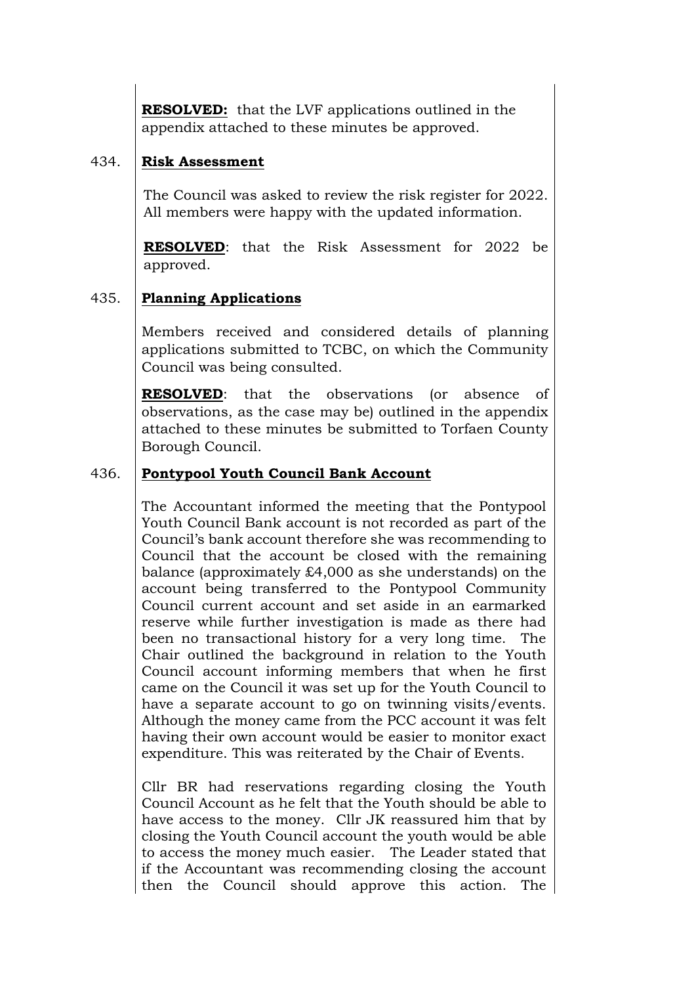**RESOLVED:** that the LVF applications outlined in the appendix attached to these minutes be approved.

## 434. **Risk Assessment**

The Council was asked to review the risk register for 2022. All members were happy with the updated information.

**RESOLVED**: that the Risk Assessment for 2022 be approved.

# 435. **Planning Applications**

Members received and considered details of planning applications submitted to TCBC, on which the Community Council was being consulted.

**RESOLVED**: that the observations (or absence of observations, as the case may be) outlined in the appendix attached to these minutes be submitted to Torfaen County Borough Council.

## 436. **Pontypool Youth Council Bank Account**

The Accountant informed the meeting that the Pontypool Youth Council Bank account is not recorded as part of the Council's bank account therefore she was recommending to Council that the account be closed with the remaining balance (approximately £4,000 as she understands) on the account being transferred to the Pontypool Community Council current account and set aside in an earmarked reserve while further investigation is made as there had been no transactional history for a very long time. The Chair outlined the background in relation to the Youth Council account informing members that when he first came on the Council it was set up for the Youth Council to have a separate account to go on twinning visits/events. Although the money came from the PCC account it was felt having their own account would be easier to monitor exact expenditure. This was reiterated by the Chair of Events.

Cllr BR had reservations regarding closing the Youth Council Account as he felt that the Youth should be able to have access to the money. Cllr JK reassured him that by closing the Youth Council account the youth would be able to access the money much easier. The Leader stated that if the Accountant was recommending closing the account then the Council should approve this action. The